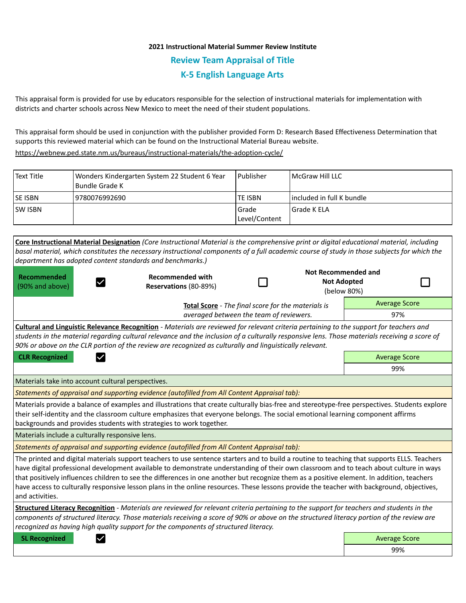# **2021 Instructional Material Summer Review Institute Review Team Appraisal of Title K-5 English Language Arts**

This appraisal form is provided for use by educators responsible for the selection of instructional materials for implementation with districts and charter schools across New Mexico to meet the need of their student populations.

This appraisal form should be used in conjunction with the publisher provided Form D: Research Based Effectiveness Determination that supports this reviewed material which can be found on the Instructional Material Bureau website.

<https://webnew.ped.state.nm.us/bureaus/instructional-materials/the-adoption-cycle/>

| Text Title     | Wonders Kindergarten System 22 Student 6 Year<br>l Bundle Grade K | l Publisher              | McGraw Hill LLC             |
|----------------|-------------------------------------------------------------------|--------------------------|-----------------------------|
| <b>SE ISBN</b> | 19780076992690                                                    | <b>TE ISBN</b>           | l included in full K bundle |
| <b>SW ISBN</b> |                                                                   | l Grade<br>Level/Content | l Grade K ELA               |

|                                                           | Core Instructional Material Designation (Core Instructional Material is the comprehensive print or digital educational material, including                                                                                                                                                                                                                                                                                                                                                                                                                                      |  |                      |                                                          |                      |  |
|-----------------------------------------------------------|---------------------------------------------------------------------------------------------------------------------------------------------------------------------------------------------------------------------------------------------------------------------------------------------------------------------------------------------------------------------------------------------------------------------------------------------------------------------------------------------------------------------------------------------------------------------------------|--|----------------------|----------------------------------------------------------|----------------------|--|
|                                                           | basal material, which constitutes the necessary instructional components of a full academic course of study in those subjects for which the                                                                                                                                                                                                                                                                                                                                                                                                                                     |  |                      |                                                          |                      |  |
| department has adopted content standards and benchmarks.) |                                                                                                                                                                                                                                                                                                                                                                                                                                                                                                                                                                                 |  |                      |                                                          |                      |  |
| Recommended<br>(90% and above)                            | <b>Recommended with</b><br>Reservations (80-89%)                                                                                                                                                                                                                                                                                                                                                                                                                                                                                                                                |  |                      | Not Recommended and<br><b>Not Adopted</b><br>(below 80%) |                      |  |
|                                                           | Total Score - The final score for the materials is                                                                                                                                                                                                                                                                                                                                                                                                                                                                                                                              |  | <b>Average Score</b> |                                                          |                      |  |
|                                                           | averaged between the team of reviewers.                                                                                                                                                                                                                                                                                                                                                                                                                                                                                                                                         |  |                      |                                                          | 97%                  |  |
|                                                           | Cultural and Linguistic Relevance Recognition - Materials are reviewed for relevant criteria pertaining to the support for teachers and<br>students in the material regarding cultural relevance and the inclusion of a culturally responsive lens. Those materials receiving a score of<br>90% or above on the CLR portion of the review are recognized as culturally and linguistically relevant.                                                                                                                                                                             |  |                      |                                                          |                      |  |
| <b>CLR Recognized</b>                                     |                                                                                                                                                                                                                                                                                                                                                                                                                                                                                                                                                                                 |  |                      | <b>Average Score</b>                                     |                      |  |
|                                                           |                                                                                                                                                                                                                                                                                                                                                                                                                                                                                                                                                                                 |  |                      |                                                          | 99%                  |  |
| Materials take into account cultural perspectives.        |                                                                                                                                                                                                                                                                                                                                                                                                                                                                                                                                                                                 |  |                      |                                                          |                      |  |
|                                                           | Statements of appraisal and supporting evidence (autofilled from All Content Appraisal tab):                                                                                                                                                                                                                                                                                                                                                                                                                                                                                    |  |                      |                                                          |                      |  |
|                                                           | Materials provide a balance of examples and illustrations that create culturally bias-free and stereotype-free perspectives. Students explore<br>their self-identity and the classroom culture emphasizes that everyone belongs. The social emotional learning component affirms<br>backgrounds and provides students with strategies to work together.                                                                                                                                                                                                                         |  |                      |                                                          |                      |  |
| Materials include a culturally responsive lens.           |                                                                                                                                                                                                                                                                                                                                                                                                                                                                                                                                                                                 |  |                      |                                                          |                      |  |
|                                                           | Statements of appraisal and supporting evidence (autofilled from All Content Appraisal tab):                                                                                                                                                                                                                                                                                                                                                                                                                                                                                    |  |                      |                                                          |                      |  |
| and activities.                                           | The printed and digital materials support teachers to use sentence starters and to build a routine to teaching that supports ELLS. Teachers<br>have digital professional development available to demonstrate understanding of their own classroom and to teach about culture in ways<br>that positively influences children to see the differences in one another but recognize them as a positive element. In addition, teachers<br>have access to culturally responsive lesson plans in the online resources. These lessons provide the teacher with background, objectives, |  |                      |                                                          |                      |  |
|                                                           | Structured Literacy Recognition - Materials are reviewed for relevant criteria pertaining to the support for teachers and students in the<br>components of structured literacy. Those materials receiving a score of 90% or above on the structured literacy portion of the review are<br>recognized as having high quality support for the components of structured literacy.                                                                                                                                                                                                  |  |                      |                                                          |                      |  |
| <b>SL Recognized</b>                                      |                                                                                                                                                                                                                                                                                                                                                                                                                                                                                                                                                                                 |  |                      |                                                          | <b>Average Score</b> |  |
|                                                           |                                                                                                                                                                                                                                                                                                                                                                                                                                                                                                                                                                                 |  |                      |                                                          | 99%                  |  |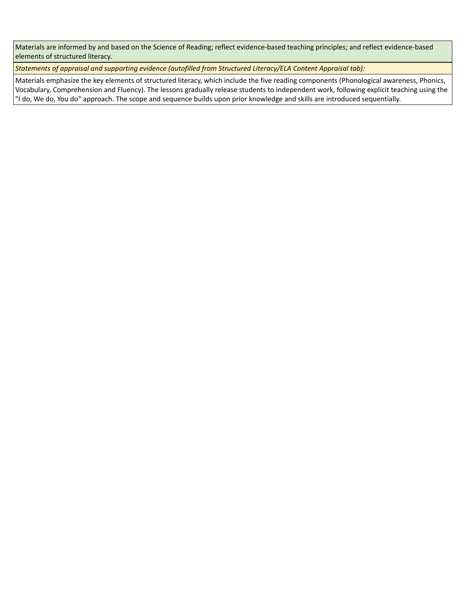Materials are informed by and based on the Science of Reading; reflect evidence-based teaching principles; and reflect evidence-based elements of structured literacy.

*Statements of appraisal and supporting evidence (autofilled from Structured Literacy/ELA Content Appraisal tab):* 

Materials emphasize the key elements of structured literacy, which include the five reading components (Phonological awareness, Phonics, Vocabulary, Comprehension and Fluency). The lessons gradually release students to independent work, following explicit teaching using the "I do, We do, You do" approach. The scope and sequence builds upon prior knowledge and skills are introduced sequentially.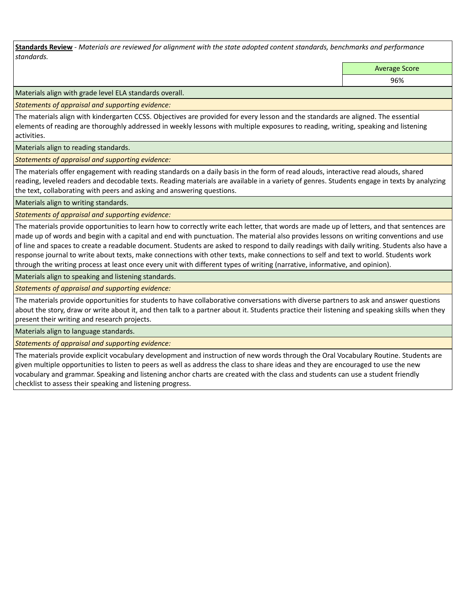**Standards Review** *- Materials are reviewed for alignment with the state adopted content standards, benchmarks and performance standards.*

Average Score

96%

Materials align with grade level ELA standards overall.

*Statements of appraisal and supporting evidence:* 

The materials align with kindergarten CCSS. Objectives are provided for every lesson and the standards are aligned. The essential elements of reading are thoroughly addressed in weekly lessons with multiple exposures to reading, writing, speaking and listening activities.

Materials align to reading standards.

*Statements of appraisal and supporting evidence:* 

The materials offer engagement with reading standards on a daily basis in the form of read alouds, interactive read alouds, shared reading, leveled readers and decodable texts. Reading materials are available in a variety of genres. Students engage in texts by analyzing the text, collaborating with peers and asking and answering questions.

Materials align to writing standards.

*Statements of appraisal and supporting evidence:* 

The materials provide opportunities to learn how to correctly write each letter, that words are made up of letters, and that sentences are made up of words and begin with a capital and end with punctuation. The material also provides lessons on writing conventions and use of line and spaces to create a readable document. Students are asked to respond to daily readings with daily writing. Students also have a response journal to write about texts, make connections with other texts, make connections to self and text to world. Students work through the writing process at least once every unit with different types of writing (narrative, informative, and opinion).

Materials align to speaking and listening standards.

*Statements of appraisal and supporting evidence:* 

The materials provide opportunities for students to have collaborative conversations with diverse partners to ask and answer questions about the story, draw or write about it, and then talk to a partner about it. Students practice their listening and speaking skills when they present their writing and research projects.

Materials align to language standards.

*Statements of appraisal and supporting evidence:* 

The materials provide explicit vocabulary development and instruction of new words through the Oral Vocabulary Routine. Students are given multiple opportunities to listen to peers as well as address the class to share ideas and they are encouraged to use the new vocabulary and grammar. Speaking and listening anchor charts are created with the class and students can use a student friendly checklist to assess their speaking and listening progress.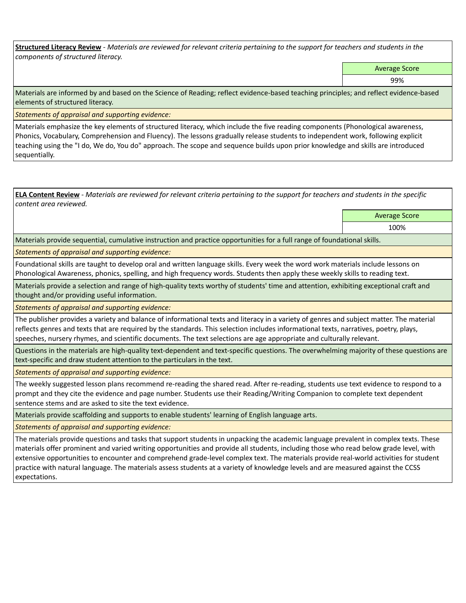**Structured Literacy Review** *- Materials are reviewed for relevant criteria pertaining to the support for teachers and students in the components of structured literacy.*

Average Score

99%

Materials are informed by and based on the Science of Reading; reflect evidence-based teaching principles; and reflect evidence-based elements of structured literacy.

*Statements of appraisal and supporting evidence:*

Materials emphasize the key elements of structured literacy, which include the five reading components (Phonological awareness, Phonics, Vocabulary, Comprehension and Fluency). The lessons gradually release students to independent work, following explicit teaching using the "I do, We do, You do" approach. The scope and sequence builds upon prior knowledge and skills are introduced sequentially.

**ELA Content Review** *- Materials are reviewed for relevant criteria pertaining to the support for teachers and students in the specific content area reviewed.*

Average Score

100%

Materials provide sequential, cumulative instruction and practice opportunities for a full range of foundational skills.

*Statements of appraisal and supporting evidence:* 

Foundational skills are taught to develop oral and written language skills. Every week the word work materials include lessons on Phonological Awareness, phonics, spelling, and high frequency words. Students then apply these weekly skills to reading text.

Materials provide a selection and range of high-quality texts worthy of students' time and attention, exhibiting exceptional craft and thought and/or providing useful information.

*Statements of appraisal and supporting evidence:* 

The publisher provides a variety and balance of informational texts and literacy in a variety of genres and subject matter. The material reflects genres and texts that are required by the standards. This selection includes informational texts, narratives, poetry, plays, speeches, nursery rhymes, and scientific documents. The text selections are age appropriate and culturally relevant.

Questions in the materials are high-quality text-dependent and text-specific questions. The overwhelming majority of these questions are text-specific and draw student attention to the particulars in the text.

*Statements of appraisal and supporting evidence:* 

The weekly suggested lesson plans recommend re-reading the shared read. After re-reading, students use text evidence to respond to a prompt and they cite the evidence and page number. Students use their Reading/Writing Companion to complete text dependent sentence stems and are asked to site the text evidence.

Materials provide scaffolding and supports to enable students' learning of English language arts.

*Statements of appraisal and supporting evidence:* 

The materials provide questions and tasks that support students in unpacking the academic language prevalent in complex texts. These materials offer prominent and varied writing opportunities and provide all students, including those who read below grade level, with extensive opportunities to encounter and comprehend grade-level complex text. The materials provide real-world activities for student practice with natural language. The materials assess students at a variety of knowledge levels and are measured against the CCSS expectations.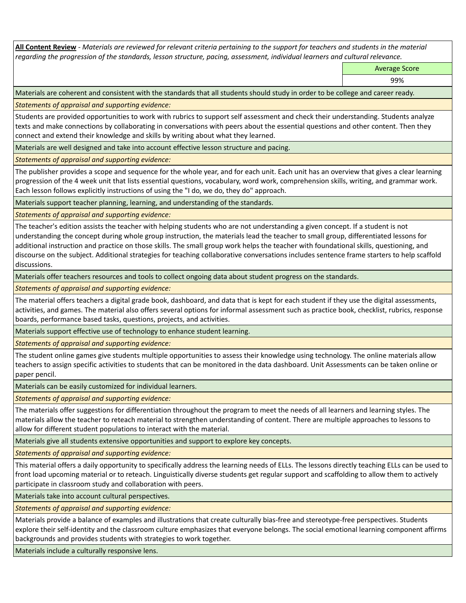**All Content Review** *- Materials are reviewed for relevant criteria pertaining to the support for teachers and students in the material regarding the progression of the standards, lesson structure, pacing, assessment, individual learners and cultural relevance.*

Average Score

99%

Materials are coherent and consistent with the standards that all students should study in order to be college and career ready.

*Statements of appraisal and supporting evidence:*

Students are provided opportunities to work with rubrics to support self assessment and check their understanding. Students analyze texts and make connections by collaborating in conversations with peers about the essential questions and other content. Then they connect and extend their knowledge and skills by writing about what they learned.

Materials are well designed and take into account effective lesson structure and pacing.

*Statements of appraisal and supporting evidence:*

The publisher provides a scope and sequence for the whole year, and for each unit. Each unit has an overview that gives a clear learning progression of the 4 week unit that lists essential questions, vocabulary, word work, comprehension skills, writing, and grammar work. Each lesson follows explicitly instructions of using the "I do, we do, they do" approach.

Materials support teacher planning, learning, and understanding of the standards.

*Statements of appraisal and supporting evidence:*

The teacher's edition assists the teacher with helping students who are not understanding a given concept. If a student is not understanding the concept during whole group instruction, the materials lead the teacher to small group, differentiated lessons for additional instruction and practice on those skills. The small group work helps the teacher with foundational skills, questioning, and discourse on the subject. Additional strategies for teaching collaborative conversations includes sentence frame starters to help scaffold discussions.

Materials offer teachers resources and tools to collect ongoing data about student progress on the standards.

*Statements of appraisal and supporting evidence:*

The material offers teachers a digital grade book, dashboard, and data that is kept for each student if they use the digital assessments, activities, and games. The material also offers several options for informal assessment such as practice book, checklist, rubrics, response boards, performance based tasks, questions, projects, and activities.

Materials support effective use of technology to enhance student learning.

*Statements of appraisal and supporting evidence:*

The student online games give students multiple opportunities to assess their knowledge using technology. The online materials allow teachers to assign specific activities to students that can be monitored in the data dashboard. Unit Assessments can be taken online or paper pencil.

Materials can be easily customized for individual learners.

*Statements of appraisal and supporting evidence:* 

The materials offer suggestions for differentiation throughout the program to meet the needs of all learners and learning styles. The materials allow the teacher to reteach material to strengthen understanding of content. There are multiple approaches to lessons to allow for different student populations to interact with the material.

Materials give all students extensive opportunities and support to explore key concepts.

*Statements of appraisal and supporting evidence:*

This material offers a daily opportunity to specifically address the learning needs of ELLs. The lessons directly teaching ELLs can be used to front load upcoming material or to reteach. Linguistically diverse students get regular support and scaffolding to allow them to actively participate in classroom study and collaboration with peers.

Materials take into account cultural perspectives.

*Statements of appraisal and supporting evidence:*

Materials provide a balance of examples and illustrations that create culturally bias-free and stereotype-free perspectives. Students explore their self-identity and the classroom culture emphasizes that everyone belongs. The social emotional learning component affirms backgrounds and provides students with strategies to work together.

Materials include a culturally responsive lens.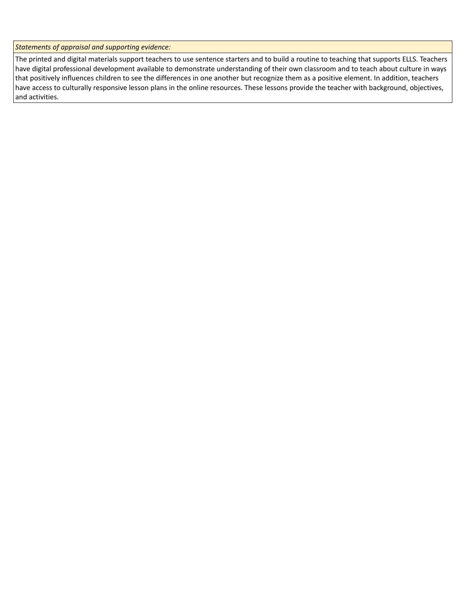*Statements of appraisal and supporting evidence:*

The printed and digital materials support teachers to use sentence starters and to build a routine to teaching that supports ELLS. Teachers have digital professional development available to demonstrate understanding of their own classroom and to teach about culture in ways that positively influences children to see the differences in one another but recognize them as a positive element. In addition, teachers have access to culturally responsive lesson plans in the online resources. These lessons provide the teacher with background, objectives, and activities.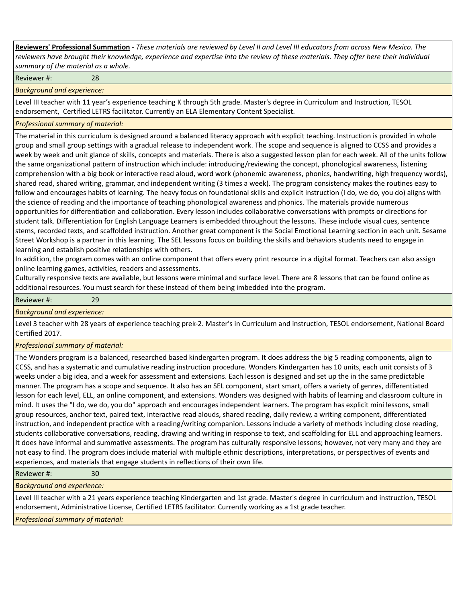**Reviewers' Professional Summation** *- These materials are reviewed by Level II and Level III educators from across New Mexico. The reviewers have brought their knowledge, experience and expertise into the review of these materials. They offer here their individual summary of the material as a whole.*

Reviewer #: 28

*Background and experience:*

Level III teacher with 11 year's experience teaching K through 5th grade. Master's degree in Curriculum and Instruction, TESOL endorsement, Certified LETRS facilitator. Currently an ELA Elementary Content Specialist.

## *Professional summary of material:*

The material in this curriculum is designed around a balanced literacy approach with explicit teaching. Instruction is provided in whole group and small group settings with a gradual release to independent work. The scope and sequence is aligned to CCSS and provides a week by week and unit glance of skills, concepts and materials. There is also a suggested lesson plan for each week. All of the units follow the same organizational pattern of instruction which include: introducing/reviewing the concept, phonological awareness, listening comprehension with a big book or interactive read aloud, word work (phonemic awareness, phonics, handwriting, high frequency words), shared read, shared writing, grammar, and independent writing (3 times a week). The program consistency makes the routines easy to follow and encourages habits of learning. The heavy focus on foundational skills and explicit instruction (I do, we do, you do) aligns with the science of reading and the importance of teaching phonological awareness and phonics. The materials provide numerous opportunities for differentiation and collaboration. Every lesson includes collaborative conversations with prompts or directions for student talk. Differentiation for English Language Learners is embedded throughout the lessons. These include visual cues, sentence stems, recorded texts, and scaffolded instruction. Another great component is the Social Emotional Learning section in each unit. Sesame Street Workshop is a partner in this learning. The SEL lessons focus on building the skills and behaviors students need to engage in learning and establish positive relationships with others.

In addition, the program comes with an online component that offers every print resource in a digital format. Teachers can also assign online learning games, activities, readers and assessments.

Culturally responsive texts are available, but lessons were minimal and surface level. There are 8 lessons that can be found online as additional resources. You must search for these instead of them being imbedded into the program.

#### Reviewer #: 29

# *Background and experience:*

Level 3 teacher with 28 years of experience teaching prek-2. Master's in Curriculum and instruction, TESOL endorsement, National Board Certified 2017.

### *Professional summary of material:*

The Wonders program is a balanced, researched based kindergarten program. It does address the big 5 reading components, align to CCSS, and has a systematic and cumulative reading instruction procedure. Wonders Kindergarten has 10 units, each unit consists of 3 weeks under a big idea, and a week for assessment and extensions. Each lesson is designed and set up the in the same predictable manner. The program has a scope and sequence. It also has an SEL component, start smart, offers a variety of genres, differentiated lesson for each level, ELL, an online component, and extensions. Wonders was designed with habits of learning and classroom culture in mind. It uses the "I do, we do, you do" approach and encourages independent learners. The program has explicit mini lessons, small group resources, anchor text, paired text, interactive read alouds, shared reading, daily review, a writing component, differentiated instruction, and independent practice with a reading/writing companion. Lessons include a variety of methods including close reading, students collaborative conversations, reading, drawing and writing in response to text, and scaffolding for ELL and approaching learners. It does have informal and summative assessments. The program has culturally responsive lessons; however, not very many and they are not easy to find. The program does include material with multiple ethnic descriptions, interpretations, or perspectives of events and experiences, and materials that engage students in reflections of their own life.

Reviewer #: 30

*Background and experience:*

Level III teacher with a 21 years experience teaching Kindergarten and 1st grade. Master's degree in curriculum and instruction, TESOL endorsement, Administrative License, Certified LETRS facilitator. Currently working as a 1st grade teacher.

*Professional summary of material:*